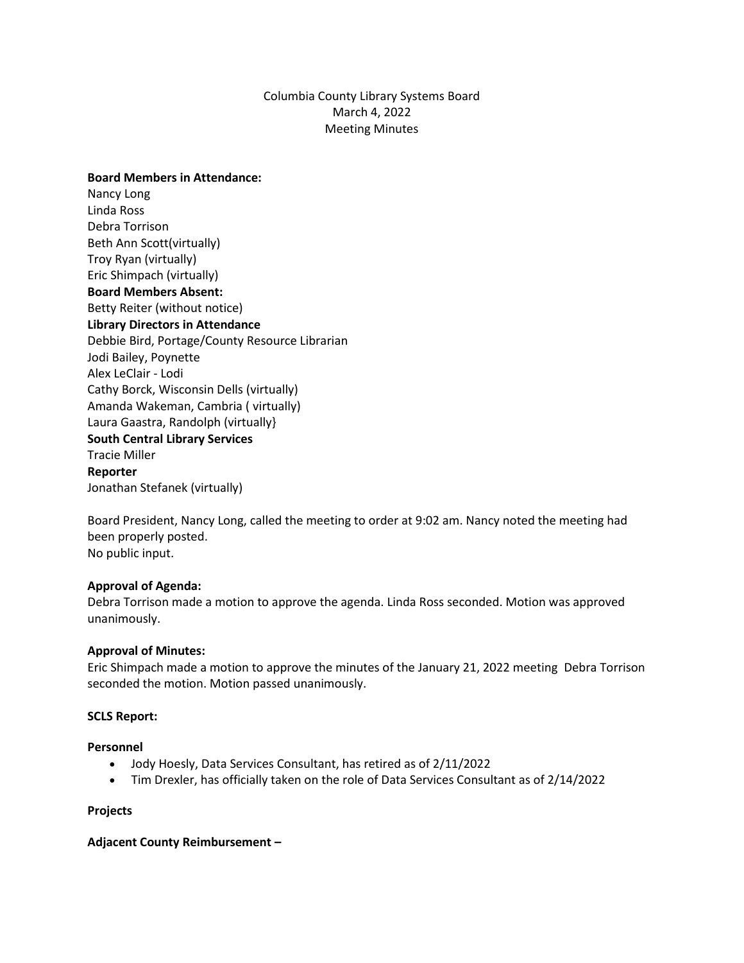# Columbia County Library Systems Board March 4, 2022 Meeting Minutes

**Board Members in Attendance:** Nancy Long Linda Ross Debra Torrison Beth Ann Scott(virtually) Troy Ryan (virtually) Eric Shimpach (virtually) **Board Members Absent:** Betty Reiter (without notice) **Library Directors in Attendance** Debbie Bird, Portage/County Resource Librarian Jodi Bailey, Poynette Alex LeClair - Lodi Cathy Borck, Wisconsin Dells (virtually) Amanda Wakeman, Cambria ( virtually) Laura Gaastra, Randolph (virtually} **South Central Library Services** Tracie Miller **Reporter** Jonathan Stefanek (virtually)

Board President, Nancy Long, called the meeting to order at 9:02 am. Nancy noted the meeting had been properly posted. No public input.

### **Approval of Agenda:**

Debra Torrison made a motion to approve the agenda. Linda Ross seconded. Motion was approved unanimously.

### **Approval of Minutes:**

Eric Shimpach made a motion to approve the minutes of the January 21, 2022 meeting Debra Torrison seconded the motion. Motion passed unanimously.

### **SCLS Report:**

### **Personnel**

- Jody Hoesly, Data Services Consultant, has retired as of 2/11/2022
- Tim Drexler, has officially taken on the role of Data Services Consultant as of 2/14/2022

### **Projects**

### **Adjacent County Reimbursement –**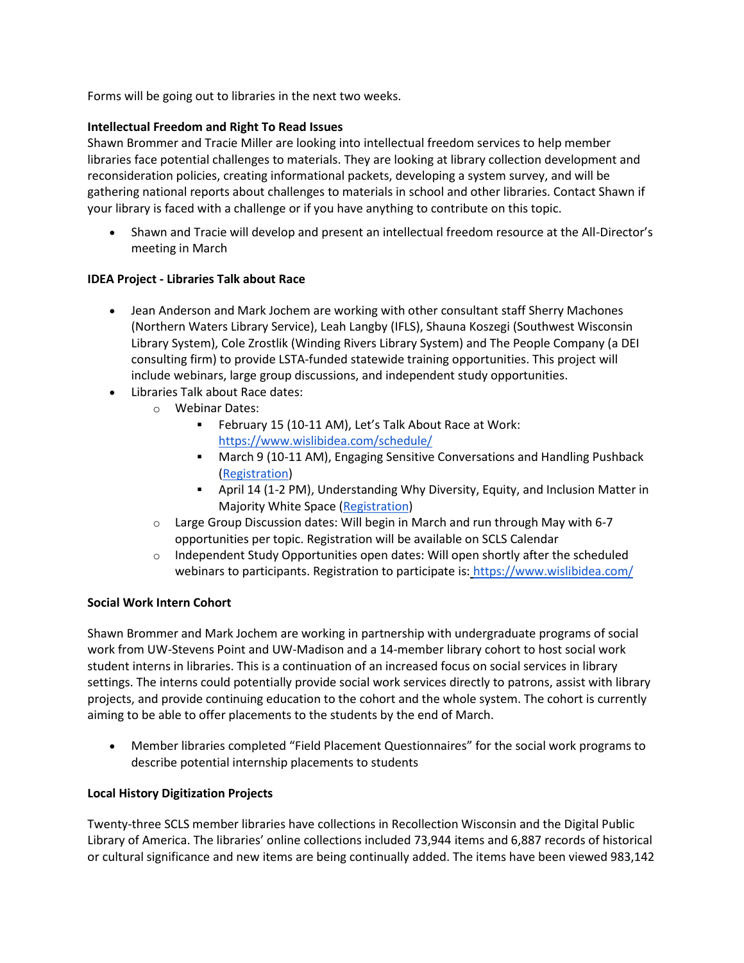Forms will be going out to libraries in the next two weeks.

# **Intellectual Freedom and Right To Read Issues**

Shawn Brommer and Tracie Miller are looking into intellectual freedom services to help member libraries face potential challenges to materials. They are looking at library collection development and reconsideration policies, creating informational packets, developing a system survey, and will be gathering national reports about challenges to materials in school and other libraries. Contact Shawn if your library is faced with a challenge or if you have anything to contribute on this topic.

• Shawn and Tracie will develop and present an intellectual freedom resource at the All-Director's meeting in March

# **IDEA Project - Libraries Talk about Race**

- Jean Anderson and Mark Jochem are working with other consultant staff Sherry Machones (Northern Waters Library Service), Leah Langby (IFLS), Shauna Koszegi (Southwest Wisconsin Library System), Cole Zrostlik (Winding Rivers Library System) and The People Company (a DEI consulting firm) to provide LSTA-funded statewide training opportunities. This project will include webinars, large group discussions, and independent study opportunities.
- Libraries Talk about Race dates:
	- o Webinar Dates:
		- February 15 (10-11 AM), Let's Talk About Race at Work: <https://www.wislibidea.com/schedule/>
		- March 9 (10-11 AM), Engaging Sensitive Conversations and Handling Pushback [\(Registration\)](https://us02web.zoom.us/webinar/register/WN_-gdmoUzCS-qQw3M8QKymHg)
		- April 14 (1-2 PM), Understanding Why Diversity, Equity, and Inclusion Matter in Majority White Space [\(Registration\)](https://us02web.zoom.us/webinar/register/WN_TekvxEQsTq-xzDgSlr-eww)
	- $\circ$  Large Group Discussion dates: Will begin in March and run through May with 6-7 opportunities per topic. Registration will be available on SCLS Calendar
	- $\circ$  Independent Study Opportunities open dates: Will open shortly after the scheduled webinars to participants. Registration to participate is: <https://www.wislibidea.com/>

## **Social Work Intern Cohort**

Shawn Brommer and Mark Jochem are working in partnership with undergraduate programs of social work from UW-Stevens Point and UW-Madison and a 14-member library cohort to host social work student interns in libraries. This is a continuation of an increased focus on social services in library settings. The interns could potentially provide social work services directly to patrons, assist with library projects, and provide continuing education to the cohort and the whole system. The cohort is currently aiming to be able to offer placements to the students by the end of March.

• Member libraries completed "Field Placement Questionnaires" for the social work programs to describe potential internship placements to students

## **Local History Digitization Projects**

Twenty-three SCLS member libraries have collections in Recollection Wisconsin and the Digital Public Library of America. The libraries' online collections included 73,944 items and 6,887 records of historical or cultural significance and new items are being continually added. The items have been viewed 983,142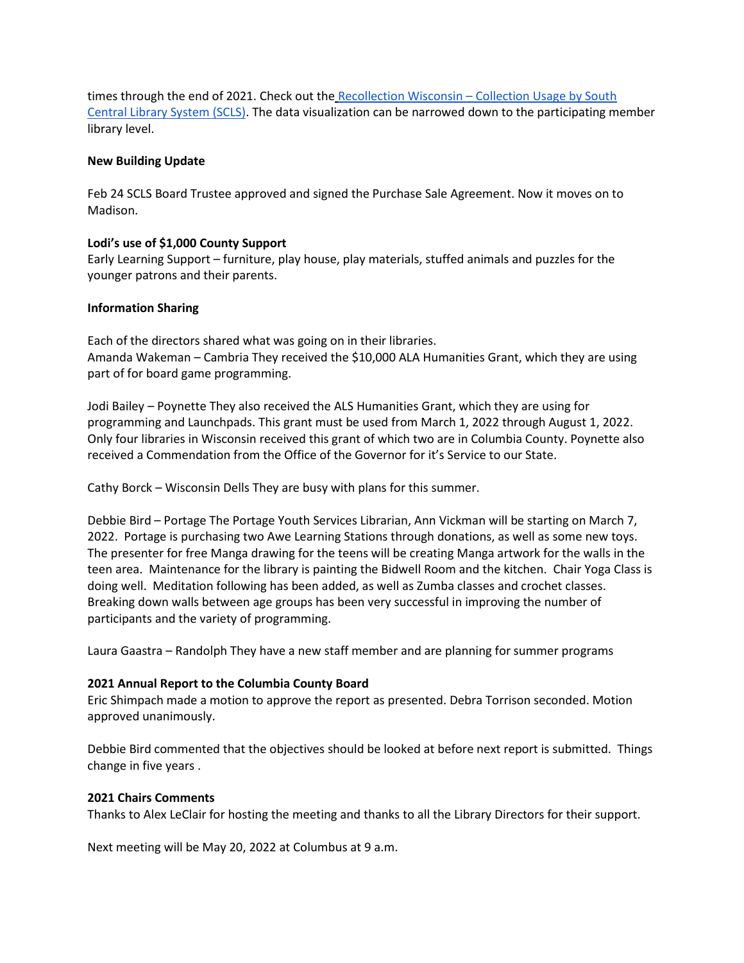times through the end of 2021. Check out the Recollection Wisconsin – [Collection Usage by South](https://public.tableau.com/shared/436T84JY8?:display_count=n&:origin=viz_share_link)  [Central Library System \(SCLS\).](https://public.tableau.com/shared/436T84JY8?:display_count=n&:origin=viz_share_link) The data visualization can be narrowed down to the participating member library level.

## **New Building Update**

Feb 24 SCLS Board Trustee approved and signed the Purchase Sale Agreement. Now it moves on to Madison.

### **Lodi's use of \$1,000 County Support**

Early Learning Support – furniture, play house, play materials, stuffed animals and puzzles for the younger patrons and their parents.

### **Information Sharing**

Each of the directors shared what was going on in their libraries. Amanda Wakeman – Cambria They received the \$10,000 ALA Humanities Grant, which they are using part of for board game programming.

Jodi Bailey – Poynette They also received the ALS Humanities Grant, which they are using for programming and Launchpads. This grant must be used from March 1, 2022 through August 1, 2022. Only four libraries in Wisconsin received this grant of which two are in Columbia County. Poynette also received a Commendation from the Office of the Governor for it's Service to our State.

Cathy Borck – Wisconsin Dells They are busy with plans for this summer.

Debbie Bird – Portage The Portage Youth Services Librarian, Ann Vickman will be starting on March 7, 2022. Portage is purchasing two Awe Learning Stations through donations, as well as some new toys. The presenter for free Manga drawing for the teens will be creating Manga artwork for the walls in the teen area. Maintenance for the library is painting the Bidwell Room and the kitchen. Chair Yoga Class is doing well. Meditation following has been added, as well as Zumba classes and crochet classes. Breaking down walls between age groups has been very successful in improving the number of participants and the variety of programming.

Laura Gaastra – Randolph They have a new staff member and are planning for summer programs

### **2021 Annual Report to the Columbia County Board**

Eric Shimpach made a motion to approve the report as presented. Debra Torrison seconded. Motion approved unanimously.

Debbie Bird commented that the objectives should be looked at before next report is submitted. Things change in five years .

### **2021 Chairs Comments**

Thanks to Alex LeClair for hosting the meeting and thanks to all the Library Directors for their support.

Next meeting will be May 20, 2022 at Columbus at 9 a.m.